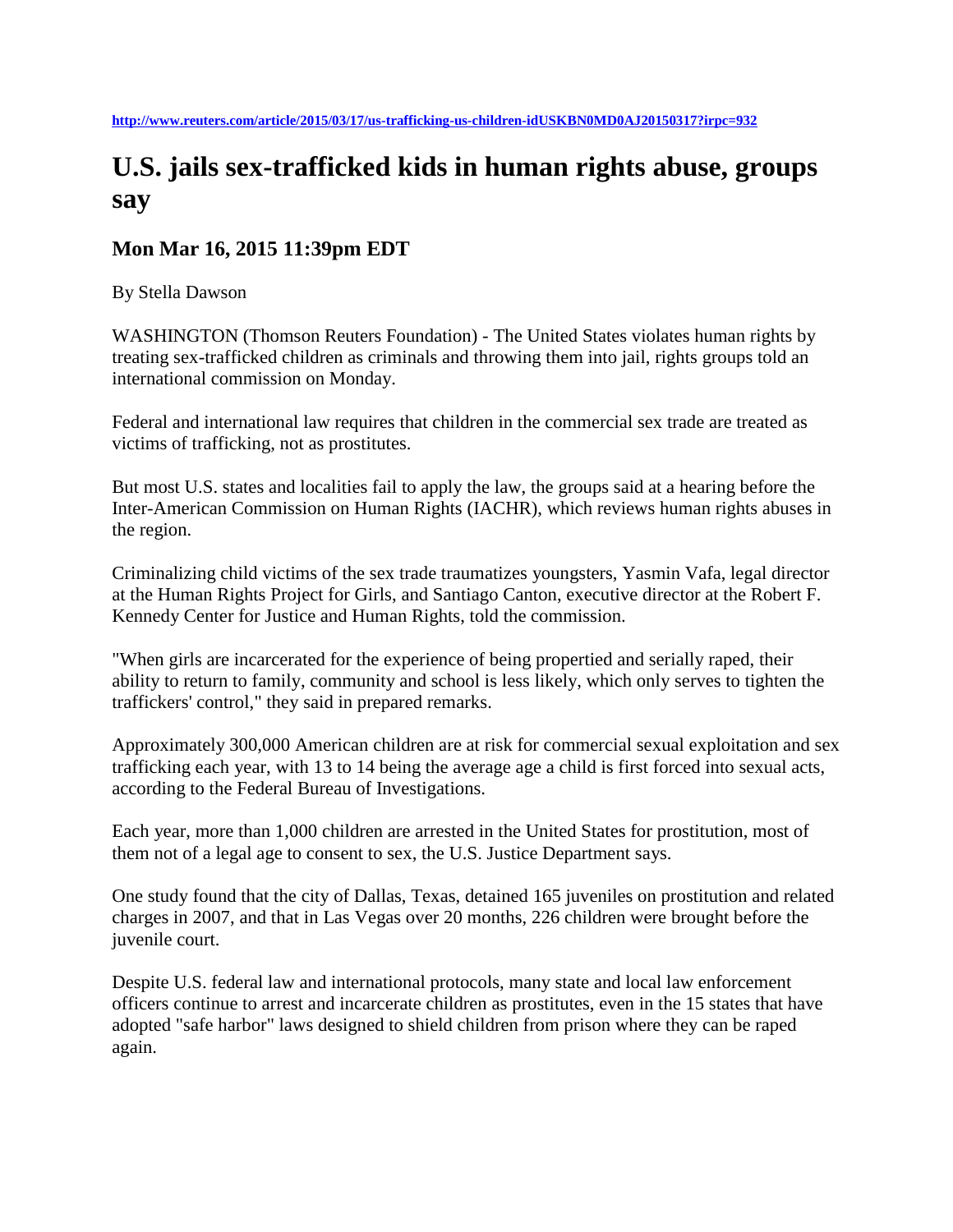## **U.S. jails sex-trafficked kids in human rights abuse, groups say**

## **Mon Mar 16, 2015 11:39pm EDT**

By Stella Dawson

WASHINGTON (Thomson Reuters Foundation) - The United States violates human rights by treating sex-trafficked children as criminals and throwing them into jail, rights groups told an international commission on Monday.

Federal and international law requires that children in the commercial sex trade are treated as victims of trafficking, not as prostitutes.

But most U.S. states and localities fail to apply the law, the groups said at a hearing before the Inter-American Commission on Human Rights (IACHR), which reviews human rights abuses in the region.

Criminalizing child victims of the sex trade traumatizes youngsters, Yasmin Vafa, legal director at the Human Rights Project for Girls, and Santiago Canton, executive director at the Robert F. Kennedy Center for Justice and Human Rights, told the commission.

"When girls are incarcerated for the experience of being propertied and serially raped, their ability to return to family, community and school is less likely, which only serves to tighten the traffickers' control," they said in prepared remarks.

Approximately 300,000 American children are at risk for commercial sexual exploitation and sex trafficking each year, with 13 to 14 being the average age a child is first forced into sexual acts, according to the Federal Bureau of Investigations.

Each year, more than 1,000 children are arrested in the United States for prostitution, most of them not of a legal age to consent to sex, the U.S. Justice Department says.

One study found that the city of Dallas, Texas, detained 165 juveniles on prostitution and related charges in 2007, and that in Las Vegas over 20 months, 226 children were brought before the juvenile court.

Despite U.S. federal law and international protocols, many state and local law enforcement officers continue to arrest and incarcerate children as prostitutes, even in the 15 states that have adopted "safe harbor" laws designed to shield children from prison where they can be raped again.